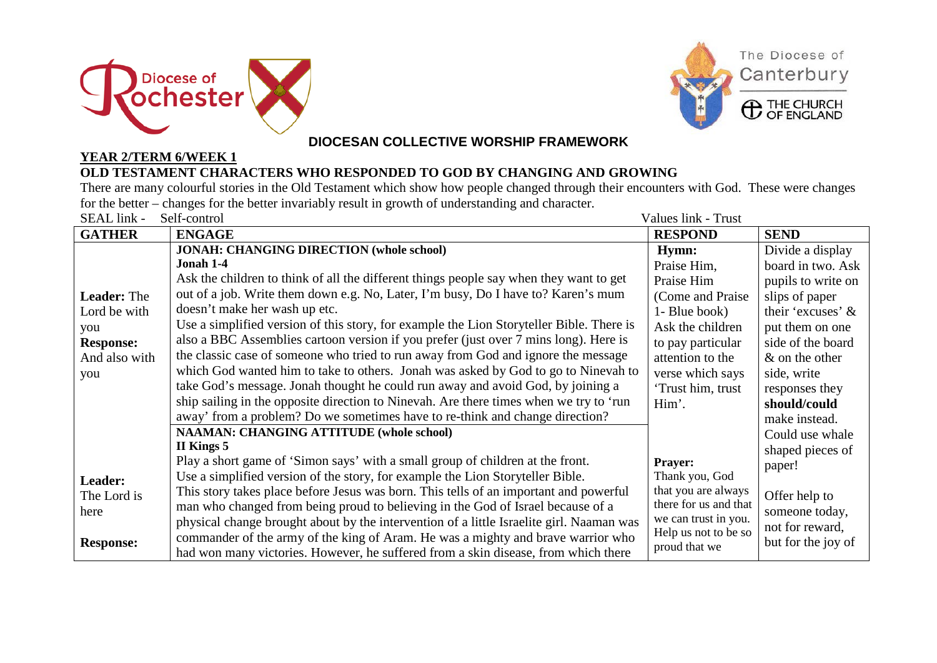



## **DIOCESAN COLLECTIVE WORSHIP FRAMEWORK**

## **YEAR 2/TERM 6/WEEK 1 OLD TESTAMENT CHARACTERS WHO RESPONDED TO GOD BY CHANGING AND GROWING**

There are many colourful stories in the Old Testament which show how people changed through their encounters with God. These were changes for the better – changes for the better invariably result in growth of understanding and character.

| SEAL link -<br>Self-control<br>Values link - Trust |                                                                                          |                       |                    |  |
|----------------------------------------------------|------------------------------------------------------------------------------------------|-----------------------|--------------------|--|
| <b>GATHER</b>                                      | <b>ENGAGE</b>                                                                            | <b>RESPOND</b>        | <b>SEND</b>        |  |
| <b>Leader: The</b><br>Lord be with                 | <b>JONAH: CHANGING DIRECTION (whole school)</b>                                          | Hymn:                 | Divide a display   |  |
|                                                    | Jonah 1-4                                                                                | Praise Him,           | board in two. Ask  |  |
|                                                    | Ask the children to think of all the different things people say when they want to get   | Praise Him            | pupils to write on |  |
|                                                    | out of a job. Write them down e.g. No, Later, I'm busy, Do I have to? Karen's mum        | (Come and Praise      | slips of paper     |  |
|                                                    | doesn't make her wash up etc.                                                            | 1- Blue book)         | their 'excuses' &  |  |
| you                                                | Use a simplified version of this story, for example the Lion Storyteller Bible. There is | Ask the children      | put them on one    |  |
| <b>Response:</b>                                   | also a BBC Assemblies cartoon version if you prefer (just over 7 mins long). Here is     | to pay particular     | side of the board  |  |
| And also with                                      | the classic case of someone who tried to run away from God and ignore the message        | attention to the      | $\&$ on the other  |  |
| you                                                | which God wanted him to take to others. Jonah was asked by God to go to Ninevah to       | verse which says      | side, write        |  |
|                                                    | take God's message. Jonah thought he could run away and avoid God, by joining a          | 'Trust him, trust     | responses they     |  |
|                                                    | ship sailing in the opposite direction to Ninevah. Are there times when we try to 'run   | Him'.                 | should/could       |  |
|                                                    | away' from a problem? Do we sometimes have to re-think and change direction?             |                       | make instead.      |  |
|                                                    | <b>NAAMAN: CHANGING ATTITUDE (whole school)</b>                                          |                       | Could use whale    |  |
|                                                    | II Kings 5                                                                               |                       | shaped pieces of   |  |
|                                                    | Play a short game of 'Simon says' with a small group of children at the front.           | <b>Prayer:</b>        | paper!             |  |
| Leader:                                            | Use a simplified version of the story, for example the Lion Storyteller Bible.           | Thank you, God        |                    |  |
| The Lord is                                        | This story takes place before Jesus was born. This tells of an important and powerful    | that you are always   | Offer help to      |  |
| here                                               | man who changed from being proud to believing in the God of Israel because of a          | there for us and that | someone today,     |  |
|                                                    | physical change brought about by the intervention of a little Israelite girl. Naaman was | we can trust in you.  | not for reward,    |  |
| <b>Response:</b>                                   | commander of the army of the king of Aram. He was a mighty and brave warrior who         | Help us not to be so  | but for the joy of |  |
|                                                    | had won many victories. However, he suffered from a skin disease, from which there       | proud that we         |                    |  |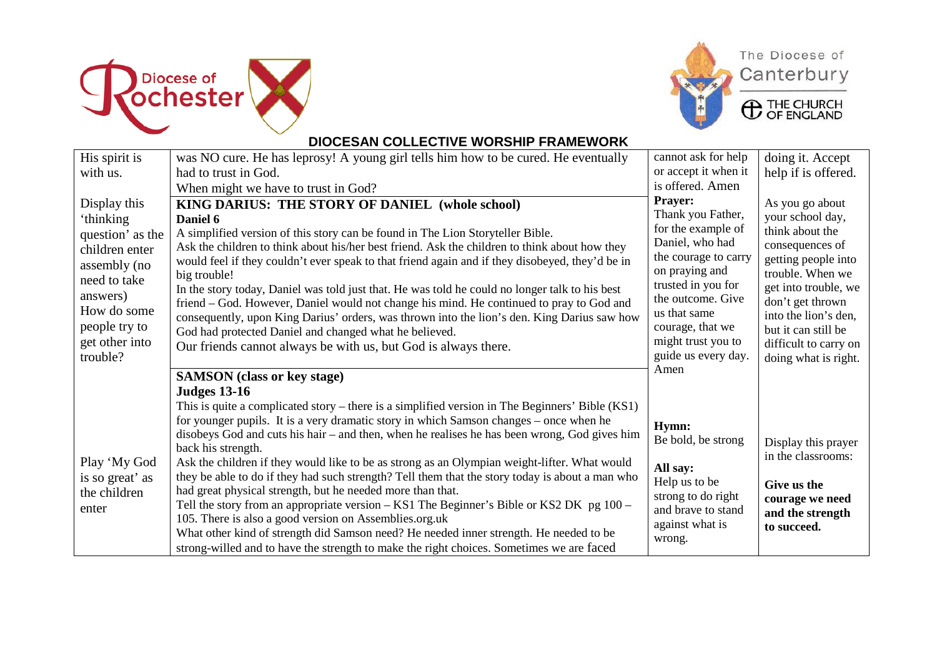





**C** THE CHURCH

## **DIOCESAN COLLECTIVE WORSHIP FRAMEWORK**

| His spirit is                                                                                                              | was NO cure. He has leprosy! A young girl tells him how to be cured. He eventually                                                                                                                                                                                                                                                                                                                                                                                                                                                                                                                                                                                                                                                                                                                                                                                                                                                                  | cannot ask for help                                                                                                                                                                                                                         | doing it. Accept                                                                                                                                                                         |
|----------------------------------------------------------------------------------------------------------------------------|-----------------------------------------------------------------------------------------------------------------------------------------------------------------------------------------------------------------------------------------------------------------------------------------------------------------------------------------------------------------------------------------------------------------------------------------------------------------------------------------------------------------------------------------------------------------------------------------------------------------------------------------------------------------------------------------------------------------------------------------------------------------------------------------------------------------------------------------------------------------------------------------------------------------------------------------------------|---------------------------------------------------------------------------------------------------------------------------------------------------------------------------------------------------------------------------------------------|------------------------------------------------------------------------------------------------------------------------------------------------------------------------------------------|
| with us.                                                                                                                   | had to trust in God.                                                                                                                                                                                                                                                                                                                                                                                                                                                                                                                                                                                                                                                                                                                                                                                                                                                                                                                                | or accept it when it                                                                                                                                                                                                                        | help if is offered.                                                                                                                                                                      |
|                                                                                                                            | When might we have to trust in God?                                                                                                                                                                                                                                                                                                                                                                                                                                                                                                                                                                                                                                                                                                                                                                                                                                                                                                                 | is offered. Amen                                                                                                                                                                                                                            |                                                                                                                                                                                          |
| Display this<br>'thinking<br>question' as the<br>children enter<br>assembly (no<br>need to take<br>answers)<br>How do some | KING DARIUS: THE STORY OF DANIEL (whole school)<br>Daniel 6<br>A simplified version of this story can be found in The Lion Storyteller Bible.<br>Ask the children to think about his/her best friend. Ask the children to think about how they<br>would feel if they couldn't ever speak to that friend again and if they disobeyed, they'd be in<br>big trouble!<br>In the story today, Daniel was told just that. He was told he could no longer talk to his best<br>friend – God. However, Daniel would not change his mind. He continued to pray to God and<br>consequently, upon King Darius' orders, was thrown into the lion's den. King Darius saw how                                                                                                                                                                                                                                                                                      | Prayer:<br>Thank you Father,<br>for the example of<br>Daniel, who had<br>the courage to carry<br>on praying and<br>trusted in you for<br>the outcome. Give<br>us that same<br>courage, that we<br>might trust you to<br>guide us every day. | As you go about<br>your school day,<br>think about the<br>consequences of<br>getting people into<br>trouble. When we<br>get into trouble, we<br>don't get thrown<br>into the lion's den, |
| people try to<br>get other into<br>trouble?                                                                                | God had protected Daniel and changed what he believed.<br>Our friends cannot always be with us, but God is always there.                                                                                                                                                                                                                                                                                                                                                                                                                                                                                                                                                                                                                                                                                                                                                                                                                            |                                                                                                                                                                                                                                             | but it can still be<br>difficult to carry on<br>doing what is right.                                                                                                                     |
|                                                                                                                            | <b>SAMSON</b> (class or key stage)                                                                                                                                                                                                                                                                                                                                                                                                                                                                                                                                                                                                                                                                                                                                                                                                                                                                                                                  | Amen                                                                                                                                                                                                                                        |                                                                                                                                                                                          |
| Play 'My God<br>is so great' as<br>the children<br>enter                                                                   | <b>Judges 13-16</b><br>This is quite a complicated story – there is a simplified version in The Beginners' Bible (KS1)<br>for younger pupils. It is a very dramatic story in which Samson changes – once when he<br>disobeys God and cuts his hair – and then, when he realises he has been wrong, God gives him<br>back his strength.<br>Ask the children if they would like to be as strong as an Olympian weight-lifter. What would<br>they be able to do if they had such strength? Tell them that the story today is about a man who<br>had great physical strength, but he needed more than that.<br>Tell the story from an appropriate version – KS1 The Beginner's Bible or KS2 DK pg 100 –<br>105. There is also a good version on Assemblies.org.uk<br>What other kind of strength did Samson need? He needed inner strength. He needed to be<br>strong-willed and to have the strength to make the right choices. Sometimes we are faced | Hymn:<br>Be bold, be strong<br>All say:<br>Help us to be<br>strong to do right<br>and brave to stand<br>against what is<br>wrong.                                                                                                           | Display this prayer<br>in the classrooms:<br>Give us the<br>courage we need<br>and the strength<br>to succeed.                                                                           |